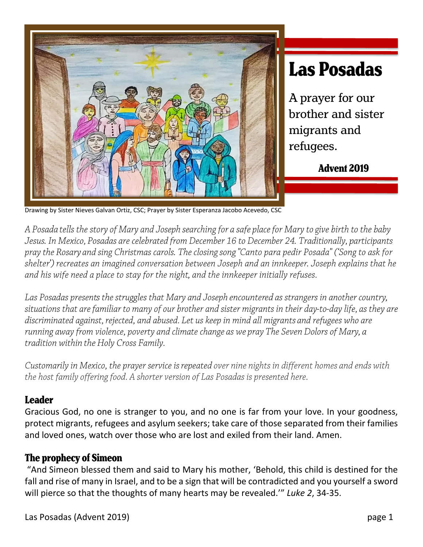

# **Las Posadas**

A prayer for our brother and sister migrants and refugees.

**Advent 2019** 

Drawing by Sister Nieves Galvan Ortiz, CSC; Prayer by Sister Esperanza Jacobo Acevedo, CSC

A Posada tells the story of Mary and Joseph searching for a safe place for Mary to give birth to the baby Jesus. In Mexico, Posadas are celebrated from December 16 to December 24. Traditionally, participants pray the Rosary and sing Christmas carols. The closing song "Canto para pedir Posada" ('Song to ask for shelter') recreates an imagined conversation between Joseph and an innkeeper. Joseph explains that he and his wife need a place to stay for the night, and the innkeeper initially refuses.

Las Posadas presents the struggles that Mary and Joseph encountered as strangers in another country, situations that are familiar to many of our brother and sister migrants in their day-to-day life, as they are discriminated against, rejected, and abused. Let us keep in mind all migrants and refugees who are running away from violence, poverty and climate change as we pray The Seven Dolors of Mary, a tradition within the Holy Cross Family.

Customarily in Mexico, the prayer service is repeated over nine nights in different homes and ends with the host family offering food. A shorter version of Las Posadas is presented here.

# **Leader**

Gracious God, no one is stranger to you, and no one is far from your love. In your goodness, protect migrants, refugees and asylum seekers; take care of those separated from their families and loved ones, watch over those who are lost and exiled from their land. Amen.

# **The prophecy of Simeon**

"And Simeon blessed them and said to Mary his mother, 'Behold, this child is destined for the fall and rise of many in Israel, and to be a sign that will be contradicted and you yourself a sword will pierce so that the thoughts of many hearts may be revealed.'" *Luke 2*, 34-35.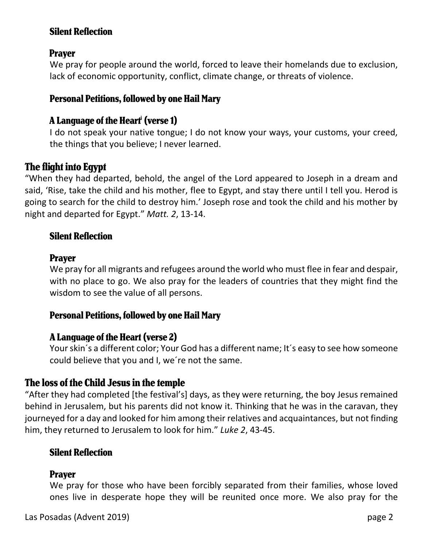# **Silent Reflection**

# **Prayer**

We pray for people around the world, forced to leave their homelands due to exclusion, lack of economic opportunity, conflict, climate change, or threats of violence.

# **Personal Petitions, followed by one Hail Mary**

# **A Language of the Heart<sup>i</sup> (verse 1)**

I do not speak your native tongue; I do not know your ways, your customs, your creed, the things that you believe; I never learned.

# **The flight into Egypt**

"When they had departed, behold, the angel of the Lord appeared to Joseph in a dream and said, 'Rise, take the child and his mother, flee to Egypt, and stay there until I tell you. Herod is going to search for the child to destroy him.' Joseph rose and took the child and his mother by night and departed for Egypt." *Matt. 2*, 13-14.

# **Silent Reflection**

# **Prayer**

We pray for all migrants and refugees around the world who must flee in fear and despair, with no place to go. We also pray for the leaders of countries that they might find the wisdom to see the value of all persons.

# **Personal Petitions, followed by one Hail Mary**

# **A Language of the Heart (verse 2)**

Your skin´s a different color; Your God has a different name; It´s easy to see how someone could believe that you and I, we´re not the same.

# The loss of the Child Jesus in the temple

"After they had completed [the festival's] days, as they were returning, the boy Jesus remained behind in Jerusalem, but his parents did not know it. Thinking that he was in the caravan, they journeyed for a day and looked for him among their relatives and acquaintances, but not finding him, they returned to Jerusalem to look for him." *Luke 2*, 43-45.

# **Silent Reflection**

# **Praver**

We pray for those who have been forcibly separated from their families, whose loved ones live in desperate hope they will be reunited once more. We also pray for the

Las Posadas (Advent 2019) page 2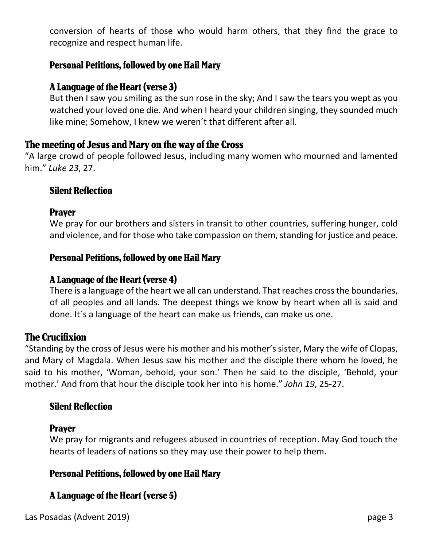conversion of hearts of those who would harm others, that they find the grace to recognize and respect human life.

# **Personal Petitions, followed by one Hail Mary**

## **A Language of the Heart (verse 3)**

But then I saw you smiling as the sun rose in the sky; And I saw the tears you wept as you watched your loved one die. And when I heard your children singing, they sounded much like mine; Somehow, I knew we weren´t that different after all.

# The meeting of Jesus and Mary on the way of the Cross

"A large crowd of people followed Jesus, including many women who mourned and lamented him." *Luke 23*, 27.

#### **Silent Reflection**

#### **Prayer**

We pray for our brothers and sisters in transit to other countries, suffering hunger, cold and violence, and for those who take compassion on them, standing for justice and peace.

#### **Personal Petitions, followed by one Hail Mary**

#### **A Language of the Heart (verse 4)**

There is a language of the heart we all can understand. That reaches cross the boundaries, of all peoples and all lands. The deepest things we know by heart when all is said and done. It´s a language of the heart can make us friends, can make us one.

#### **The Crucifixion**

"Standing by the cross of Jesus were his mother and his mother's sister, Mary the wife of Clopas, and Mary of Magdala. When Jesus saw his mother and the disciple there whom he loved, he said to his mother, 'Woman, behold, your son.' Then he said to the disciple, 'Behold, your mother.' And from that hour the disciple took her into his home." *John 19*, 25-27.

#### **Silent Reflection**

#### **Prayer**

We pray for migrants and refugees abused in countries of reception. May God touch the hearts of leaders of nations so they may use their power to help them.

# **Personal Petitions, followed by one Hail Mary**

# A Language of the Heart (verse 5)

Las Posadas (Advent 2019) page 3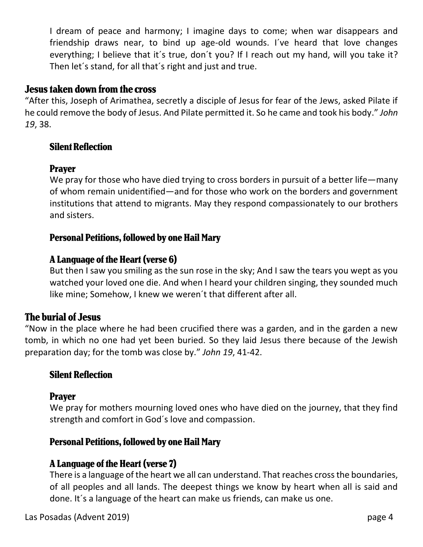I dream of peace and harmony; I imagine days to come; when war disappears and friendship draws near, to bind up age-old wounds. I´ve heard that love changes everything; I believe that it´s true, don´t you? If I reach out my hand, will you take it? Then let´s stand, for all that´s right and just and true.

#### **Jesus taken down from the cross**

"After this, Joseph of Arimathea, secretly a disciple of Jesus for fear of the Jews, asked Pilate if he could remove the body of Jesus. And Pilate permitted it. So he came and took his body." *John 19*, 38.

# **Silent Reflection**

# **Praver**

We pray for those who have died trying to cross borders in pursuit of a better life—many of whom remain unidentified—and for those who work on the borders and government institutions that attend to migrants. May they respond compassionately to our brothers and sisters.

# **Personal Petitions, followed by one Hail Mary**

# **A Language of the Heart (verse 6)**

But then I saw you smiling as the sun rose in the sky; And I saw the tears you wept as you watched your loved one die. And when I heard your children singing, they sounded much like mine; Somehow, I knew we weren´t that different after all.

# **The burial of Jesus**

"Now in the place where he had been crucified there was a garden, and in the garden a new tomb, in which no one had yet been buried. So they laid Jesus there because of the Jewish preparation day; for the tomb was close by." *John 19*, 41-42.

# **Silent Reflection**

#### **Prayer**

We pray for mothers mourning loved ones who have died on the journey, that they find strength and comfort in God´s love and compassion.

# **Personal Petitions, followed by one Hail Mary**

# **A Language of the Heart (verse 7)**

There is a language of the heart we all can understand. That reaches cross the boundaries, of all peoples and all lands. The deepest things we know by heart when all is said and done. It´s a language of the heart can make us friends, can make us one.

Las Posadas (Advent 2019) page 4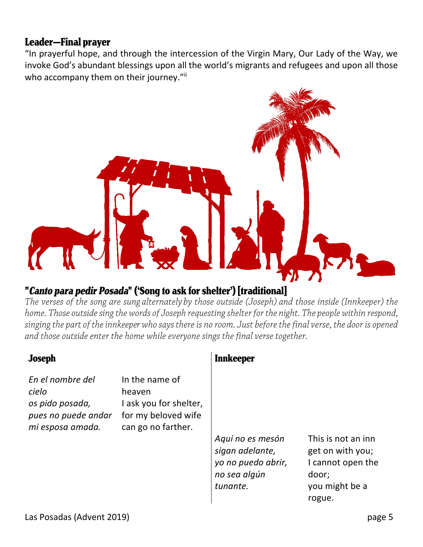# **Leader-Final prayer**

"In prayerful hope, and through the intercession of the Virgin Mary, Our Lady of the Way, we invoke God's abundant blessings upon all the world's migrants and refugees and upon all those who accompany them on their journey."<sup>ii</sup>



# "Canto para pedir Posada" ('Song to ask for shelter') [traditional]

The verses of the song are sung alternately by those outside (Joseph) and those inside (Innkeeper) the home. Those outside sing the words of Joseph requesting shelter for the night. The people within respond, singing the part of the innkeeper who says there is no room. Just before the final verse, the door is opened and those outside enter the home while everyone sings the final verse together.

| <b>Joseph</b>                                                                           |                                                                                                 | Innkeeper                                                                             |                                                                                                  |
|-----------------------------------------------------------------------------------------|-------------------------------------------------------------------------------------------------|---------------------------------------------------------------------------------------|--------------------------------------------------------------------------------------------------|
| En el nombre del<br>cielo<br>os pido posada,<br>pues no puede andar<br>mi esposa amada. | In the name of<br>heaven<br>I ask you for shelter,<br>for my beloved wife<br>can go no farther. | Aquí no es mesón<br>sigan adelante,<br>yo no puedo abrir,<br>no sea algún<br>tunante. | This is not an inn<br>get on with you;<br>I cannot open the<br>door;<br>you might be a<br>rogue. |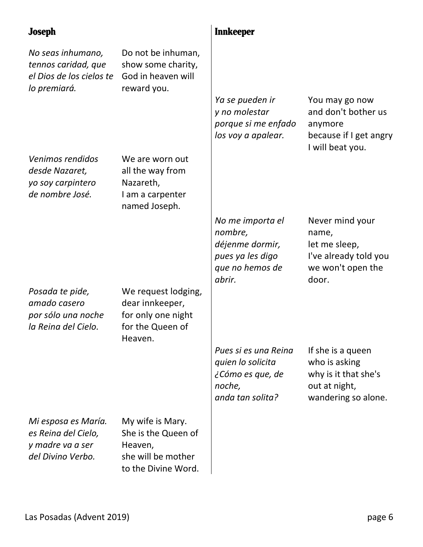| <b>Joseph</b>                                                                        |                                                                                                 | <b>Innkeeper</b>                                                                                |                                                                                                    |
|--------------------------------------------------------------------------------------|-------------------------------------------------------------------------------------------------|-------------------------------------------------------------------------------------------------|----------------------------------------------------------------------------------------------------|
| No seas inhumano,<br>tennos caridad, que<br>el Dios de los cielos te<br>lo premiará. | Do not be inhuman,<br>show some charity,<br>God in heaven will<br>reward you.                   | Ya se pueden ir<br>y no molestar<br>porque si me enfado<br>los voy a apalear.                   | You may go now<br>and don't bother us<br>anymore<br>because if I get angry<br>I will beat you.     |
| Venimos rendidos<br>desde Nazaret,<br>yo soy carpintero<br>de nombre José.           | We are worn out<br>all the way from<br>Nazareth,<br>I am a carpenter<br>named Joseph.           |                                                                                                 |                                                                                                    |
| Posada te pide,<br>amado casero<br>por sólo una noche<br>la Reina del Cielo.         | We request lodging,<br>dear innkeeper,<br>for only one night<br>for the Queen of                | No me importa el<br>nombre,<br>déjenme dormir,<br>pues ya les digo<br>que no hemos de<br>abrir. | Never mind your<br>name,<br>let me sleep,<br>I've already told you<br>we won't open the<br>door.   |
|                                                                                      | Heaven.                                                                                         | Pues si es una Reina<br>quien lo solicita<br>¿Cómo es que, de<br>noche,<br>anda tan solita?     | If she is a queen<br>who is asking<br>why is it that she's<br>out at night,<br>wandering so alone. |
| Mi esposa es María.<br>es Reina del Cielo,<br>y madre va a ser<br>del Divino Verbo.  | My wife is Mary.<br>She is the Queen of<br>Heaven,<br>she will be mother<br>to the Divine Word. |                                                                                                 |                                                                                                    |